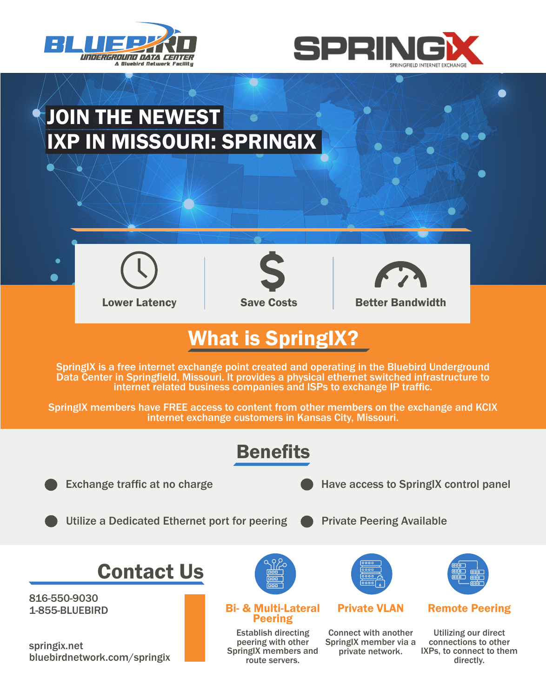



# JOIN THE NEWEST IXP IN MISSOURI: SPRINGIX



 $\bullet$ 



 $\bullet$ 



O

Lower Latency **Save Costs** Better Bandwidth

### What is SpringIX?

SpringIX is a free internet exchange point created and operating in the Bluebird Underground Data Center in Springfield, Missouri. It provides a physical ethernet switched infrastructure to internet related business companies and ISPs to exchange IP traffic.

SpringIX members have FREE access to content from other members on the exchange and KCIX internet exchange customers in Kansas City, Missouri.